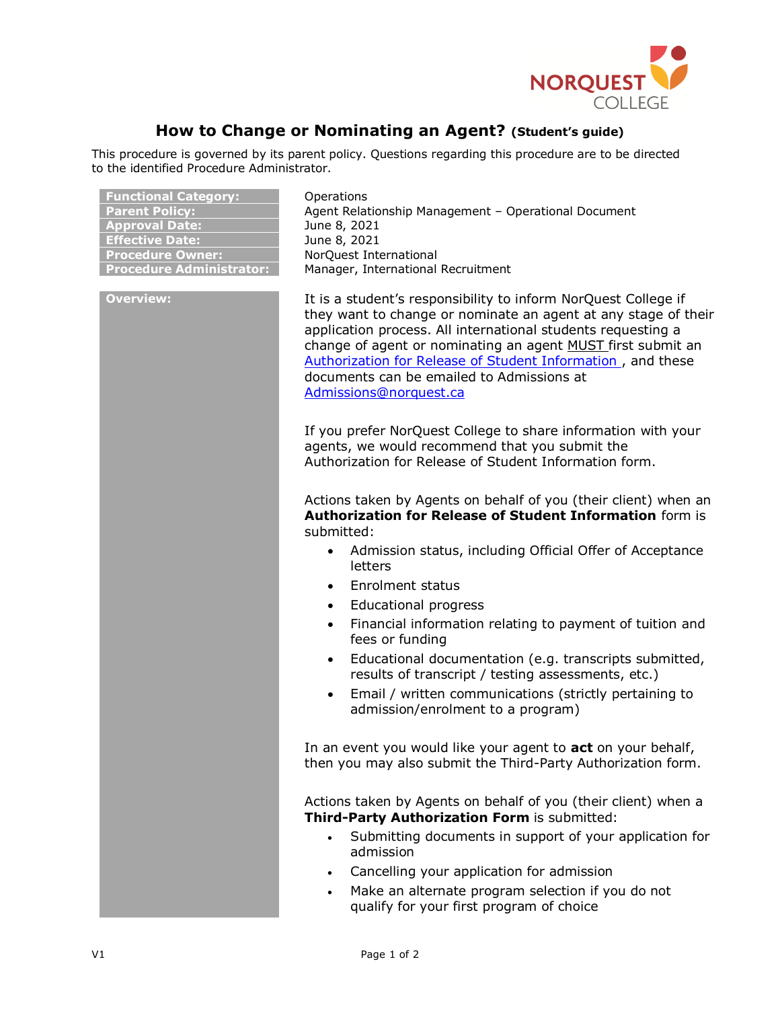

## **How to Change or Nominating an Agent? (Student's guide)**

This procedure is governed by its parent policy. Questions regarding this procedure are to be directed to the identified Procedure Administrator.

| <b>Functional Category:</b>     |
|---------------------------------|
| <b>Parent Policy:</b>           |
| <b>Approval Date:</b>           |
| <b>Effective Date:</b>          |
| <b>Procedure Owner:</b>         |
| <b>Procedure Administrator:</b> |

**Operations** Agent Relationship Management - Operational Document **Approval Date:** June 8, 2021 **June 8, 2021 Procedure Owner:** NorQuest International **Procedure Administrator:** Manager, International Recruitment

**Overview:** It is a student's responsibility to inform NorQuest College if they want to change or nominate an agent at any stage of their application process. All international students requesting a change of agent or nominating an agent MUST first submit an [Authorization for Release of Student Information ,](https://www.norquest.ca/getattachment/14eb4964-af8d-484c-a688-de081b645edb/Authorization-for-Release-of-Student-Information.aspx) and these documents can be emailed to Admissions at [Admissions@norquest.ca](mailto:Admissions@norquest.ca)

> If you prefer NorQuest College to share information with your agents, we would recommend that you submit the Authorization for Release of Student Information form.

Actions taken by Agents on behalf of you (their client) when an **Authorization for Release of Student Information** form is submitted:

- Admission status, including Official Offer of Acceptance letters
- Enrolment status
- Educational progress
- Financial information relating to payment of tuition and fees or funding
- Educational documentation (e.g. transcripts submitted, results of transcript / testing assessments, etc.)
- Email / written communications (strictly pertaining to admission/enrolment to a program)

In an event you would like your agent to **act** on your behalf, then you may also submit the Third-Party Authorization form.

Actions taken by Agents on behalf of you (their client) when a **Third-Party Authorization Form** is submitted:

- Submitting documents in support of your application for admission
- Cancelling your application for admission
- Make an alternate program selection if you do not qualify for your first program of choice